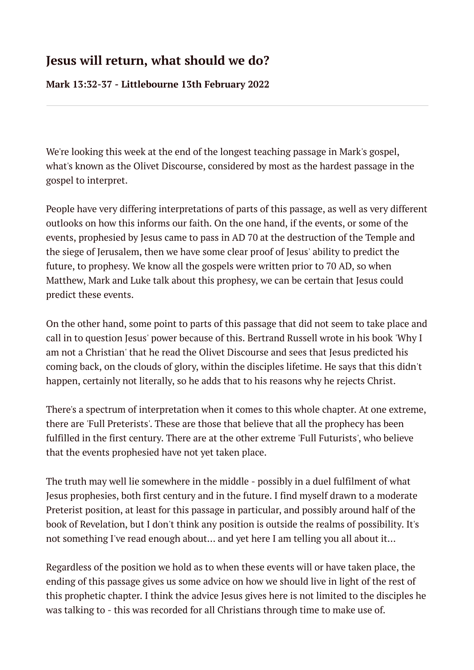## **Jesus will return, what should we do?**

**Mark 13:32-37 - Littlebourne 13th February 2022**

We're looking this week at the end of the longest teaching passage in Mark's gospel, what's known as the Olivet Discourse, considered by most as the hardest passage in the gospel to interpret.

People have very differing interpretations of parts of this passage, as well as very different outlooks on how this informs our faith. On the one hand, if the events, or some of the events, prophesied by Jesus came to pass in AD 70 at the destruction of the Temple and the siege of Jerusalem, then we have some clear proof of Jesus' ability to predict the future, to prophesy. We know all the gospels were written prior to 70 AD, so when Matthew, Mark and Luke talk about this prophesy, we can be certain that Jesus could predict these events.

On the other hand, some point to parts of this passage that did not seem to take place and call in to question Jesus' power because of this. Bertrand Russell wrote in his book 'Why I am not a Christian' that he read the Olivet Discourse and sees that Jesus predicted his coming back, on the clouds of glory, within the disciples lifetime. He says that this didn't happen, certainly not literally, so he adds that to his reasons why he rejects Christ.

There's a spectrum of interpretation when it comes to this whole chapter. At one extreme, there are 'Full Preterists'. These are those that believe that all the prophecy has been fulfilled in the first century. There are at the other extreme 'Full Futurists', who believe that the events prophesied have not yet taken place.

The truth may well lie somewhere in the middle - possibly in a duel fulfilment of what Jesus prophesies, both first century and in the future. I find myself drawn to a moderate Preterist position, at least for this passage in particular, and possibly around half of the book of Revelation, but I don't think any position is outside the realms of possibility. It's not something I've read enough about... and yet here I am telling you all about it...

Regardless of the position we hold as to when these events will or have taken place, the ending of this passage gives us some advice on how we should live in light of the rest of this prophetic chapter. I think the advice Jesus gives here is not limited to the disciples he was talking to - this was recorded for all Christians through time to make use of.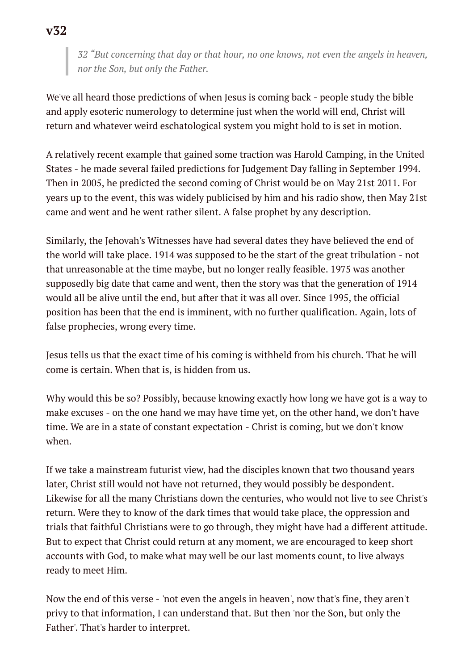*32 "But concerning that day or that hour, no one knows, not even the angels in heaven, nor the Son, but only the Father.*

We've all heard those predictions of when Jesus is coming back - people study the bible and apply esoteric numerology to determine just when the world will end, Christ will return and whatever weird eschatological system you might hold to is set in motion.

A relatively recent example that gained some traction was Harold Camping, in the United States - he made several failed predictions for Judgement Day falling in September 1994. Then in 2005, he predicted the second coming of Christ would be on May 21st 2011. For years up to the event, this was widely publicised by him and his radio show, then May 21st came and went and he went rather silent. A false prophet by any description.

Similarly, the Jehovah's Witnesses have had several dates they have believed the end of the world will take place. 1914 was supposed to be the start of the great tribulation - not that unreasonable at the time maybe, but no longer really feasible. 1975 was another supposedly big date that came and went, then the story was that the generation of 1914 would all be alive until the end, but after that it was all over. Since 1995, the official position has been that the end is imminent, with no further qualification. Again, lots of false prophecies, wrong every time.

Jesus tells us that the exact time of his coming is withheld from his church. That he will come is certain. When that is, is hidden from us.

Why would this be so? Possibly, because knowing exactly how long we have got is a way to make excuses - on the one hand we may have time yet, on the other hand, we don't have time. We are in a state of constant expectation - Christ is coming, but we don't know when.

If we take a mainstream futurist view, had the disciples known that two thousand years later, Christ still would not have not returned, they would possibly be despondent. Likewise for all the many Christians down the centuries, who would not live to see Christ's return. Were they to know of the dark times that would take place, the oppression and trials that faithful Christians were to go through, they might have had a different attitude. But to expect that Christ could return at any moment, we are encouraged to keep short accounts with God, to make what may well be our last moments count, to live always ready to meet Him.

Now the end of this verse - 'not even the angels in heaven', now that's fine, they aren't privy to that information, I can understand that. But then 'nor the Son, but only the Father'. That's harder to interpret.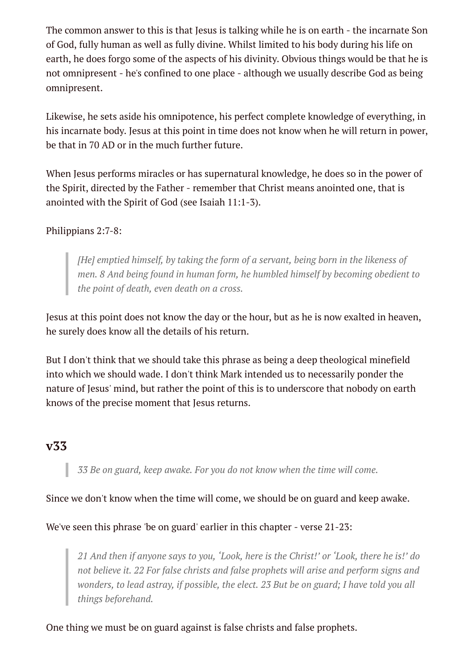The common answer to this is that Jesus is talking while he is on earth - the incarnate Son of God, fully human as well as fully divine. Whilst limited to his body during his life on earth, he does forgo some of the aspects of his divinity. Obvious things would be that he is not omnipresent - he's confined to one place - although we usually describe God as being omnipresent.

Likewise, he sets aside his omnipotence, his perfect complete knowledge of everything, in his incarnate body. Jesus at this point in time does not know when he will return in power, be that in 70 AD or in the much further future.

When Jesus performs miracles or has supernatural knowledge, he does so in the power of the Spirit, directed by the Father - remember that Christ means anointed one, that is anointed with the Spirit of God (see Isaiah 11:1-3).

## Philippians 2:7-8:

*[He] emptied himself, by taking the form of a servant, being born in the likeness of men. 8 And being found in human form, he humbled himself by becoming obedient to the point of death, even death on a cross.*

Jesus at this point does not know the day or the hour, but as he is now exalted in heaven, he surely does know all the details of his return.

But I don't think that we should take this phrase as being a deep theological minefield into which we should wade. I don't think Mark intended us to necessarily ponder the nature of Jesus' mind, but rather the point of this is to underscore that nobody on earth knows of the precise moment that Jesus returns.

## **v33**

*33 Be on guard, keep awake. For you do not know when the time will come.*

Since we don't know when the time will come, we should be on guard and keep awake.

We've seen this phrase 'be on guard' earlier in this chapter - verse 21-23:

*21 And then if anyone says to you, 'Look, here is the Christ!' or 'Look, there he is!' do not believe it. 22 For false christs and false prophets will arise and perform signs and wonders, to lead astray, if possible, the elect. 23 But be on guard; I have told you all things beforehand.*

One thing we must be on guard against is false christs and false prophets.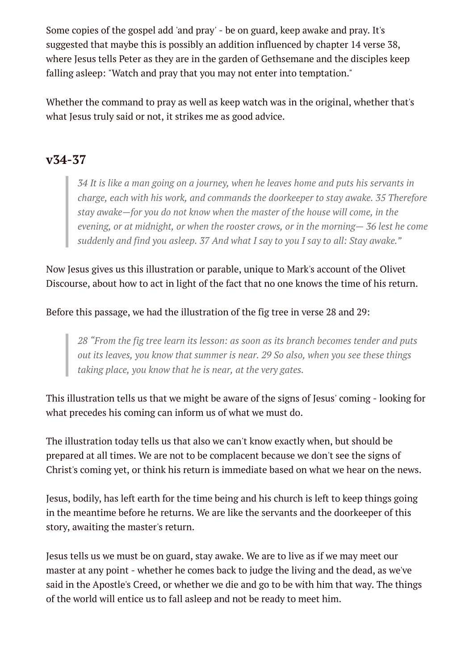Some copies of the gospel add 'and pray' - be on guard, keep awake and pray. It's suggested that maybe this is possibly an addition influenced by chapter 14 verse 38, where Jesus tells Peter as they are in the garden of Gethsemane and the disciples keep falling asleep: "Watch and pray that you may not enter into temptation."

Whether the command to pray as well as keep watch was in the original, whether that's what Jesus truly said or not, it strikes me as good advice.

## **v34-37**

*34 It is like a man going on a journey, when he leaves home and puts his servants in charge, each with his work, and commands the doorkeeper to stay awake. 35 Therefore stay awake—for you do not know when the master of the house will come, in the evening, or at midnight, or when the rooster crows, or in the morning— 36 lest he come suddenly and find you asleep. 37 And what I say to you I say to all: Stay awake."*

Now Jesus gives us this illustration or parable, unique to Mark's account of the Olivet Discourse, about how to act in light of the fact that no one knows the time of his return.

Before this passage, we had the illustration of the fig tree in verse 28 and 29:

*28 "From the fig tree learn its lesson: as soon as its branch becomes tender and puts out its leaves, you know that summer is near. 29 So also, when you see these things taking place, you know that he is near, at the very gates.*

This illustration tells us that we might be aware of the signs of Jesus' coming - looking for what precedes his coming can inform us of what we must do.

The illustration today tells us that also we can't know exactly when, but should be prepared at all times. We are not to be complacent because we don't see the signs of Christ's coming yet, or think his return is immediate based on what we hear on the news.

Jesus, bodily, has left earth for the time being and his church is left to keep things going in the meantime before he returns. We are like the servants and the doorkeeper of this story, awaiting the master's return.

Jesus tells us we must be on guard, stay awake. We are to live as if we may meet our master at any point - whether he comes back to judge the living and the dead, as we've said in the Apostle's Creed, or whether we die and go to be with him that way. The things of the world will entice us to fall asleep and not be ready to meet him.